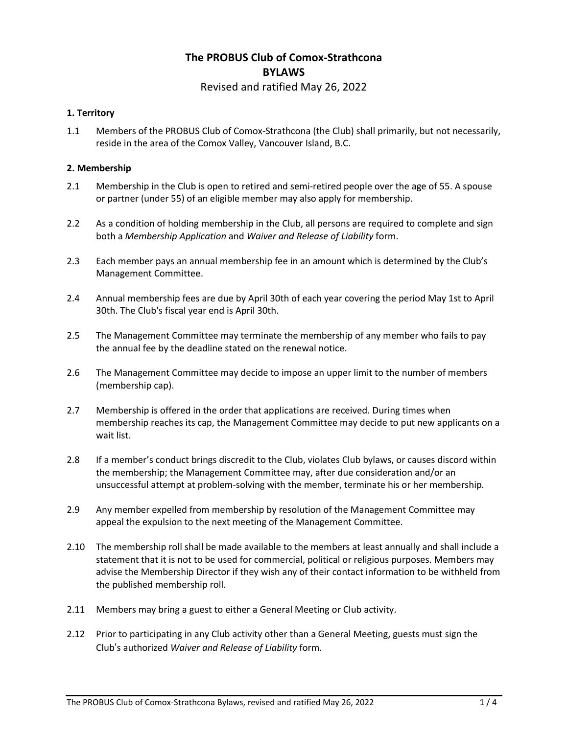# **The PROBUS Club of Comox-Strathcona BYLAWS**

## Revised and ratified May 26, 2022

## **1. Territory**

1.1 Members of the PROBUS Club of Comox-Strathcona (the Club) shall primarily, but not necessarily, reside in the area of the Comox Valley, Vancouver Island, B.C.

#### **2. Membership**

- 2.1 Membership in the Club is open to retired and semi-retired people over the age of 55. A spouse or partner (under 55) of an eligible member may also apply for membership.
- 2.2 As a condition of holding membership in the Club, all persons are required to complete and sign both a *Membership Application* and *Waiver and Release of Liability* form.
- 2.3 Each member pays an annual membership fee in an amount which is determined by the Club's Management Committee.
- 2.4 Annual membership fees are due by April 30th of each year covering the period May 1st to April 30th. The Club's fiscal year end is April 30th.
- 2.5 The Management Committee may terminate the membership of any member who fails to pay the annual fee by the deadline stated on the renewal notice.
- 2.6 The Management Committee may decide to impose an upper limit to the number of members (membership cap).
- 2.7 Membership is offered in the order that applications are received. During times when membership reaches its cap, the Management Committee may decide to put new applicants on a wait list.
- 2.8 If a member's conduct brings discredit to the Club, violates Club bylaws, or causes discord within the membership; the Management Committee may, after due consideration and/or an unsuccessful attempt at problem-solving with the member, terminate his or her membership*.*
- 2.9 Any member expelled from membership by resolution of the Management Committee may appeal the expulsion to the next meeting of the Management Committee.
- 2.10 The membership roll shall be made available to the members at least annually and shall include a statement that it is not to be used for commercial, political or religious purposes. Members may advise the Membership Director if they wish any of their contact information to be withheld from the published membership roll.
- 2.11 Members may bring a guest to either a General Meeting or Club activity.
- 2.12 Prior to participating in any Club activity other than a General Meeting, guests must sign the Club's authorized *Waiver and Release of Liability* form.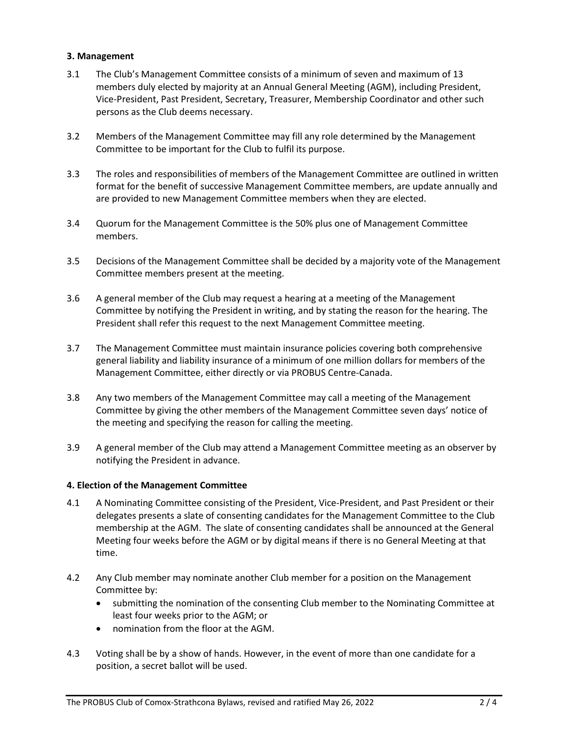## **3. Management**

- 3.1 The Club's Management Committee consists of a minimum of seven and maximum of 13 members duly elected by majority at an Annual General Meeting (AGM), including President, Vice-President, Past President, Secretary, Treasurer, Membership Coordinator and other such persons as the Club deems necessary.
- 3.2 Members of the Management Committee may fill any role determined by the Management Committee to be important for the Club to fulfil its purpose.
- 3.3 The roles and responsibilities of members of the Management Committee are outlined in written format for the benefit of successive Management Committee members, are update annually and are provided to new Management Committee members when they are elected.
- 3.4 Quorum for the Management Committee is the 50% plus one of Management Committee members.
- 3.5 Decisions of the Management Committee shall be decided by a majority vote of the Management Committee members present at the meeting.
- 3.6 A general member of the Club may request a hearing at a meeting of the Management Committee by notifying the President in writing, and by stating the reason for the hearing. The President shall refer this request to the next Management Committee meeting.
- 3.7 The Management Committee must maintain insurance policies covering both comprehensive general liability and liability insurance of a minimum of one million dollars for members of the Management Committee, either directly or via PROBUS Centre-Canada.
- 3.8 Any two members of the Management Committee may call a meeting of the Management Committee by giving the other members of the Management Committee seven days' notice of the meeting and specifying the reason for calling the meeting.
- 3.9 A general member of the Club may attend a Management Committee meeting as an observer by notifying the President in advance.

#### **4. Election of the Management Committee**

- 4.1 A Nominating Committee consisting of the President, Vice-President, and Past President or their delegates presents a slate of consenting candidates for the Management Committee to the Club membership at the AGM. The slate of consenting candidates shall be announced at the General Meeting four weeks before the AGM or by digital means if there is no General Meeting at that time.
- 4.2 Any Club member may nominate another Club member for a position on the Management Committee by:
	- submitting the nomination of the consenting Club member to the Nominating Committee at least four weeks prior to the AGM; or
	- nomination from the floor at the AGM.
- 4.3 Voting shall be by a show of hands. However, in the event of more than one candidate for a position, a secret ballot will be used.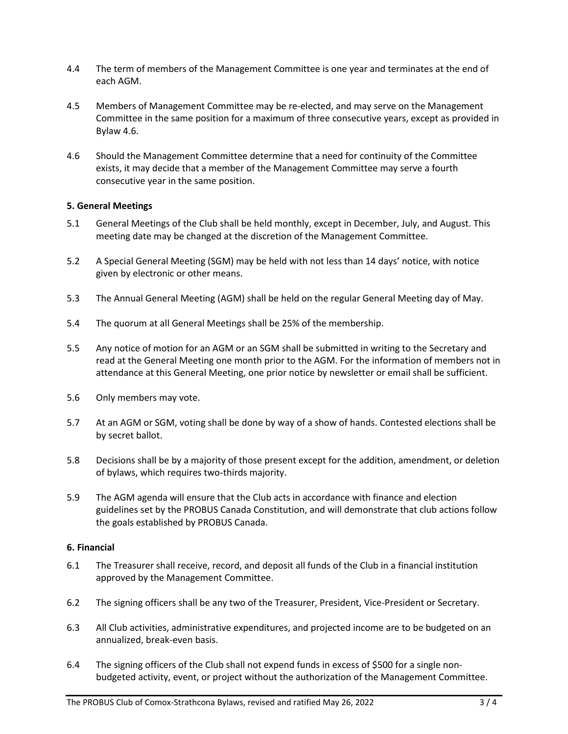- 4.4 The term of members of the Management Committee is one year and terminates at the end of each AGM.
- 4.5 Members of Management Committee may be re-elected, and may serve on the Management Committee in the same position for a maximum of three consecutive years, except as provided in Bylaw 4.6.
- 4.6 Should the Management Committee determine that a need for continuity of the Committee exists, it may decide that a member of the Management Committee may serve a fourth consecutive year in the same position.

## **5. General Meetings**

- 5.1 General Meetings of the Club shall be held monthly, except in December, July, and August. This meeting date may be changed at the discretion of the Management Committee.
- 5.2 A Special General Meeting (SGM) may be held with not less than 14 days' notice, with notice given by electronic or other means.
- 5.3 The Annual General Meeting (AGM) shall be held on the regular General Meeting day of May.
- 5.4 The quorum at all General Meetings shall be 25% of the membership.
- 5.5 Any notice of motion for an AGM or an SGM shall be submitted in writing to the Secretary and read at the General Meeting one month prior to the AGM. For the information of members not in attendance at this General Meeting, one prior notice by newsletter or email shall be sufficient.
- 5.6 Only members may vote.
- 5.7 At an AGM or SGM, voting shall be done by way of a show of hands. Contested elections shall be by secret ballot.
- 5.8 Decisions shall be by a majority of those present except for the addition, amendment, or deletion of bylaws, which requires two-thirds majority.
- 5.9 The AGM agenda will ensure that the Club acts in accordance with finance and election guidelines set by the PROBUS Canada Constitution, and will demonstrate that club actions follow the goals established by PROBUS Canada.

#### **6. Financial**

- 6.1 The Treasurer shall receive, record, and deposit all funds of the Club in a financial institution approved by the Management Committee.
- 6.2 The signing officers shall be any two of the Treasurer, President, Vice-President or Secretary.
- 6.3 All Club activities, administrative expenditures, and projected income are to be budgeted on an annualized, break-even basis.
- 6.4 The signing officers of the Club shall not expend funds in excess of \$500 for a single nonbudgeted activity, event, or project without the authorization of the Management Committee.